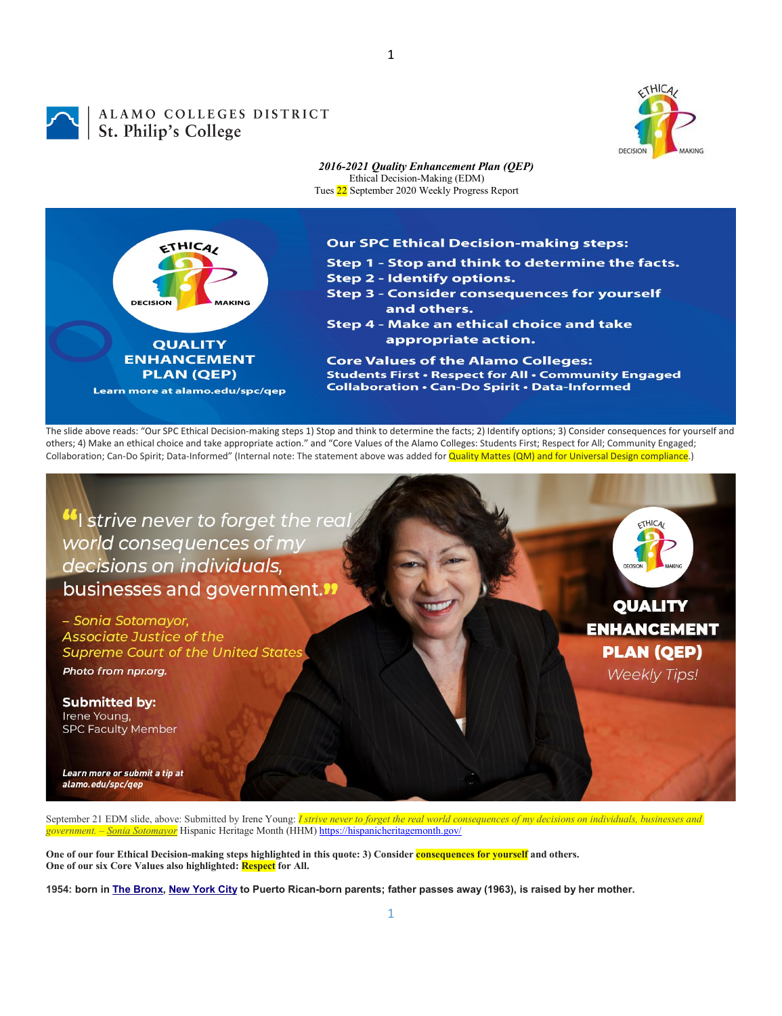



## ALAMO COLLEGES DISTRICT<br>St. Philip's College



 $THICA$ 

**QUALITY** 

**ENHANCEMENT** 

**PLAN (QEP)** 

**Weekly Tips!** 

*2016-2021 Quality Enhancement Plan (QEP)* Ethical Decision-Making (EDM) Tues 22 September 2020 Weekly Progress Report

1



## **Our SPC Ethical Decision-making steps:**

- Step 1 Stop and think to determine the facts.
- **Step 2 Identify options.**
- **Step 3 Consider consequences for yourself** and others.
- Step 4 Make an ethical choice and take appropriate action.

**Core Values of the Alamo Colleges:** Students First • Respect for All • Community Engaged **Collaboration . Can-Do Spirit . Data-Informed** 

The slide above reads: "Our SPC Ethical Decision-making steps 1) Stop and think to determine the facts; 2) Identify options; 3) Consider consequences for yourself and others; 4) Make an ethical choice and take appropriate action." and "Core Values of the Alamo Colleges: Students First; Respect for All; Community Engaged; Collaboration; Can-Do Spirit; Data-Informed" (Internal note: The statement above was added for Quality Mattes (QM) and for Universal Design compliance.)

<sup>66</sup> strive never to forget the real world consequences of my decisions on individuals, businesses and government."

- Sonia Sotomavor. **Associate Justice of the Supreme Court of the United States** Photo from npr.org.

**Submitted by:** Irene Young. **SPC Faculty Member** 

Learn more or submit a tip at alamo.edu/spc/qep

September 21 EDM slide, above: Submitted by Irene Young: *I strive never to forget the real world consequences of my decisions on individuals, businesses and government. – Sonia Sotomayor* Hispanic Heritage Month (HHM) <https://hispanicheritagemonth.gov/>

**One of our four Ethical Decision-making steps highlighted in this quote: 3) Consider consequences for yourself and others. One of our six Core Values also highlighted: Respect for All.**

**1954: born in [The Bronx,](https://en.wikipedia.org/wiki/The_Bronx) [New York City](https://en.wikipedia.org/wiki/New_York_City) to Puerto Rican-born parents; father passes away (1963), is raised by her mother.**